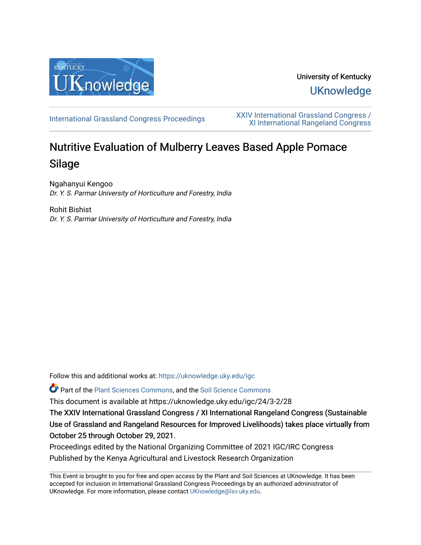

University of Kentucky **UKnowledge** 

[International Grassland Congress Proceedings](https://uknowledge.uky.edu/igc) [XXIV International Grassland Congress /](https://uknowledge.uky.edu/igc/24)  [XI International Rangeland Congress](https://uknowledge.uky.edu/igc/24) 

# Nutritive Evaluation of Mulberry Leaves Based Apple Pomace Silage

Ngahanyui Kengoo Dr. Y. S. Parmar University of Horticulture and Forestry, India

Rohit Bishist Dr. Y. S. Parmar University of Horticulture and Forestry, India

Follow this and additional works at: [https://uknowledge.uky.edu/igc](https://uknowledge.uky.edu/igc?utm_source=uknowledge.uky.edu%2Figc%2F24%2F3-2%2F28&utm_medium=PDF&utm_campaign=PDFCoverPages) 

Part of the [Plant Sciences Commons](http://network.bepress.com/hgg/discipline/102?utm_source=uknowledge.uky.edu%2Figc%2F24%2F3-2%2F28&utm_medium=PDF&utm_campaign=PDFCoverPages), and the [Soil Science Commons](http://network.bepress.com/hgg/discipline/163?utm_source=uknowledge.uky.edu%2Figc%2F24%2F3-2%2F28&utm_medium=PDF&utm_campaign=PDFCoverPages) 

This document is available at https://uknowledge.uky.edu/igc/24/3-2/28

The XXIV International Grassland Congress / XI International Rangeland Congress (Sustainable Use of Grassland and Rangeland Resources for Improved Livelihoods) takes place virtually from October 25 through October 29, 2021.

Proceedings edited by the National Organizing Committee of 2021 IGC/IRC Congress Published by the Kenya Agricultural and Livestock Research Organization

This Event is brought to you for free and open access by the Plant and Soil Sciences at UKnowledge. It has been accepted for inclusion in International Grassland Congress Proceedings by an authorized administrator of UKnowledge. For more information, please contact [UKnowledge@lsv.uky.edu](mailto:UKnowledge@lsv.uky.edu).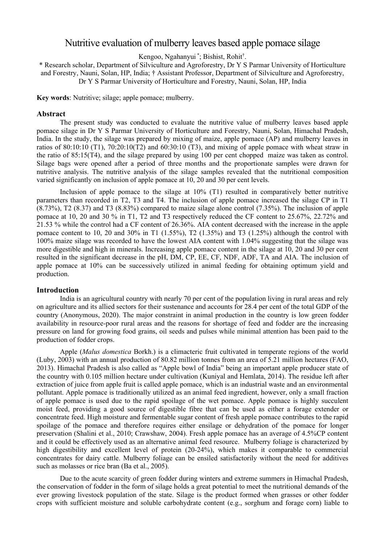# Nutritive evaluation of mulberry leaves based apple pomace silage

Kengoo, Ngahanyui \* ; Bishist, Rohit† .

\* Research scholar, Department of Silviculture and Agroforestry, Dr Y S Parmar University of Horticulture and Forestry, Nauni, Solan, HP, India; † Assistant Professor, Department of Silviculture and Agroforestry, Dr Y S Parmar University of Horticulture and Forestry, Nauni, Solan, HP, India

**Key words**: Nutritive; silage; apple pomace; mulberry.

#### **Abstract**

The present study was conducted to evaluate the nutritive value of mulberry leaves based apple pomace silage in Dr Y S Parmar University of Horticulture and Forestry, Nauni, Solan, Himachal Pradesh, India. In the study, the silage was prepared by mixing of maize, apple pomace (AP) and mulberry leaves in ratios of 80:10:10 (T1),  $70:20:10(T2)$  and  $60:30:10(T3)$ , and mixing of apple pomace with wheat straw in the ratio of 85:15(T4), and the silage prepared by using 100 per cent chopped maize was taken as control. Silage bags were opened after a period of three months and the proportionate samples were drawn for nutritive analysis. The nutritive analysis of the silage samples revealed that the nutritional composition varied significantly on inclusion of apple pomace at 10, 20 and 30 per cent levels.

Inclusion of apple pomace to the silage at 10% (T1) resulted in comparatively better nutritive parameters than recorded in T2, T3 and T4. The inclusion of apple pomace increased the silage CP in T1 (8.73%), T2 (8.37) and T3 (8.83%) compared to maize silage alone control (7.35%). The inclusion of apple pomace at 10, 20 and 30 % in T1, T2 and T3 respectively reduced the CF content to 25.67%, 22.72% and 21.53 % while the control had a CF content of 26.36%. AIA content decreased with the increase in the apple pomace content to 10, 20 and 30% in T1 (1.55%), T2 (1.35%) and T3 (1.25%) although the control with 100% maize silage was recorded to have the lowest AIA content with 1.04% suggesting that the silage was more digestible and high in minerals. Increasing apple pomace content in the silage at 10, 20 and 30 per cent resulted in the significant decrease in the pH, DM, CP, EE, CF, NDF, ADF, TA and AIA. The inclusion of apple pomace at 10% can be successively utilized in animal feeding for obtaining optimum yield and production.

#### **Introduction**

India is an agricultural country with nearly 70 per cent of the population living in rural areas and rely on agriculture and its allied sectors for their sustenance and accounts for 28.4 per cent of the total GDP of the country (Anonymous, 2020). The major constraint in animal production in the country is low green fodder availability in resource-poor rural areas and the reasons for shortage of feed and fodder are the increasing pressure on land for growing food grains, oil seeds and pulses while minimal attention has been paid to the production of fodder crops.

Apple (*Malus domestica* Borkh.) is a climacteric fruit cultivated in temperate regions of the world (Luby, 2003) with an annual production of 80.82 million tonnes from an area of 5.21 million hectares (FAO, 2013). Himachal Pradesh is also called as "Apple bowl of India" being an important apple producer state of the country with 0.105 million hectare under cultivation (Kuniyal and Hemlata, 2014). The residue left after extraction of juice from apple fruit is called apple pomace, which is an industrial waste and an environmental pollutant. Apple pomace is traditionally utilized as an animal feed ingredient, however, only a small fraction of apple pomace is used due to the rapid spoilage of the wet pomace. Apple pomace is highly succulent moist feed, providing a good source of digestible fibre that can be used as either a forage extender or concentrate feed. High moisture and fermentable sugar content of fresh apple pomace contributes to the rapid spoilage of the pomace and therefore requires either ensilage or dehydration of the pomace for longer preservation (Shalini et al., 2010; Crawshaw, 2004). Fresh apple pomace has an average of 4.5%CP content and it could be effectively used as an alternative animal feed resource. Mulberry foliage is characterized by high digestibility and excellent level of protein (20-24%), which makes it comparable to commercial concentrates for dairy cattle. Mulberry foliage can be ensiled satisfactorily without the need for additives such as molasses or rice bran (Ba et al., 2005).

Due to the acute scarcity of green fodder during winters and extreme summers in Himachal Pradesh, the conservation of fodder in the form of silage holds a great potential to meet the nutritional demands of the ever growing livestock population of the state. Silage is the product formed when grasses or other fodder crops with sufficient moisture and soluble carbohydrate content (e.g., sorghum and forage corn) liable to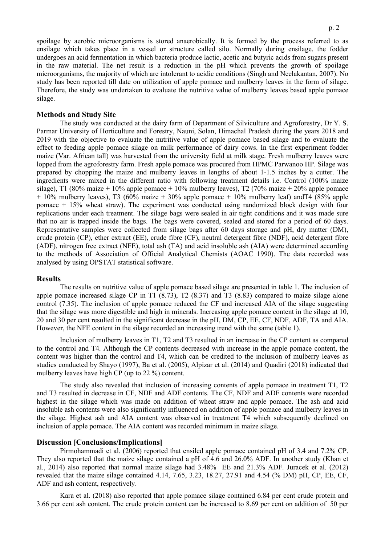spoilage by aerobic microorganisms is stored anaerobically. It is formed by the process referred to as ensilage which takes place in a vessel or structure called silo. Normally during ensilage, the fodder undergoes an acid fermentation in which bacteria produce lactic, acetic and butyric acids from sugars present in the raw material. The net result is a reduction in the pH which prevents the growth of spoilage microorganisms, the majority of which are intolerant to acidic conditions (Singh and Neelakantan, 2007). No study has been reported till date on utilization of apple pomace and mulberry leaves in the form of silage. Therefore, the study was undertaken to evaluate the nutritive value of mulberry leaves based apple pomace silage.

#### **Methods and Study Site**

The study was conducted at the dairy farm of Department of Silviculture and Agroforestry, Dr Y. S. Parmar University of Horticulture and Forestry, Nauni, Solan, Himachal Pradesh during the years 2018 and 2019 with the objective to evaluate the nutritive value of apple pomace based silage and to evaluate the effect to feeding apple pomace silage on milk performance of dairy cows. In the first experiment fodder maize (Var. African tall) was harvested from the university field at milk stage. Fresh mulberry leaves were lopped from the agroforestry farm. Fresh apple pomace was procured from HPMC Parwanoo HP. Silage was prepared by chopping the maize and mulberry leaves in lengths of about 1-1.5 inches by a cutter. The ingredients were mixed in the different ratio with following treatment details i.e. Control (100% maize silage), T1 (80% maize + 10% apple pomace + 10% mulberry leaves), T2 (70% maize + 20% apple pomace  $+ 10\%$  mulberry leaves), T3 (60% maize  $+ 30\%$  apple pomace  $+ 10\%$  mulberry leaf) and T4 (85% apple pomace + 15% wheat straw). The experiment was conducted using randomized block design with four replications under each treatment. The silage bags were sealed in air tight conditions and it was made sure that no air is trapped inside the bags. The bags were covered, sealed and stored for a period of 60 days. Representative samples were collected from silage bags after 60 days storage and pH, dry matter (DM), crude protein (CP), ether extract (EE), crude fibre (CF), neutral detergent fibre (NDF), acid detergent fibre (ADF), nitrogen free extract (NFE), total ash (TA) and acid insoluble ash (AIA) were determined according to the methods of Association of Official Analytical Chemists (AOAC 1990). The data recorded was analysed by using OPSTAT statistical software.

### **Results**

The results on nutritive value of apple pomace based silage are presented in table 1. The inclusion of apple pomace increased silage CP in T1 (8.73), T2 (8.37) and T3 (8.83) compared to maize silage alone control (7.35). The inclusion of apple pomace reduced the CF and increased AIA of the silage suggesting that the silage was more digestible and high in minerals. Increasing apple pomace content in the silage at 10, 20 and 30 per cent resulted in the significant decrease in the pH, DM, CP, EE, CF, NDF, ADF, TA and AIA. However, the NFE content in the silage recorded an increasing trend with the same (table 1).

Inclusion of mulberry leaves in T1, T2 and T3 resulted in an increase in the CP content as compared to the control and T4. Although the CP contents decreased with increase in the apple pomace content, the content was higher than the control and T4, which can be credited to the inclusion of mulberry leaves as studies conducted by Shayo (1997), Ba et al. (2005), Alpizar et al. (2014) and Quadiri (2018) indicated that mulberry leaves have high CP (up to 22 %) content.

The study also revealed that inclusion of increasing contents of apple pomace in treatment T1, T2 and T3 resulted in decrease in CF, NDF and ADF contents. The CF, NDF and ADF contents were recorded highest in the silage which was made on addition of wheat straw and apple pomace. The ash and acid insoluble ash contents were also significantly influenced on addition of apple pomace and mulberry leaves in the silage. Highest ash and AIA content was observed in treatment T4 which subsequently declined on inclusion of apple pomace. The AIA content was recorded minimum in maize silage.

## **Discussion [Conclusions/Implications]**

Pirmohammadi et al. (2006) reported that ensiled apple pomace contained pH of 3.4 and 7.2% CP. They also reported that the maize silage contained a pH of 4.6 and 26.0% ADF. In another study (Khan et al., 2014) also reported that normal maize silage had 3.48% EE and 21.3% ADF. Juracek et al. (2012) revealed that the maize silage contained 4.14, 7.65, 3.23, 18.27, 27.91 and 4.54 (% DM) pH, CP, EE, CF, ADF and ash content, respectively.

Kara et al. (2018) also reported that apple pomace silage contained 6.84 per cent crude protein and 3.66 per cent ash content. The crude protein content can be increased to 8.69 per cent on addition of 50 per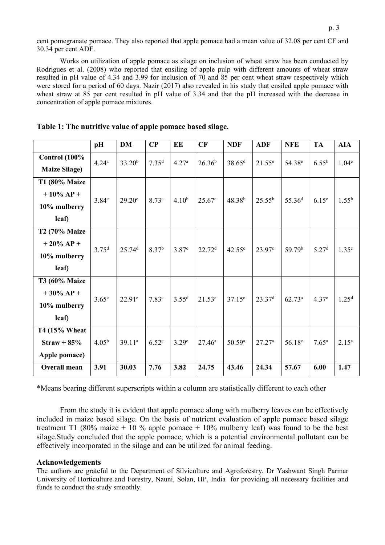cent pomegranate pomace. They also reported that apple pomace had a mean value of 32.08 per cent CF and 30.34 per cent ADF.

Works on utilization of apple pomace as silage on inclusion of wheat straw has been conducted by Rodrigues et al. (2008) who reported that ensiling of apple pulp with different amounts of wheat straw resulted in pH value of 4.34 and 3.99 for inclusion of 70 and 85 per cent wheat straw respectively which were stored for a period of 60 days. Nazir (2017) also revealed in his study that ensiled apple pomace with wheat straw at 85 per cent resulted in pH value of 3.34 and that the pH increased with the decrease in concentration of apple pomace mixtures.

|                      | pH                | <b>DM</b>          | $\bf CP$          | EE                | CF                 | <b>NDF</b>      | <b>ADF</b>         | <b>NFE</b>         | <b>TA</b>         | <b>AIA</b>        |
|----------------------|-------------------|--------------------|-------------------|-------------------|--------------------|-----------------|--------------------|--------------------|-------------------|-------------------|
| <b>Control</b> (100% | $4.24^{\rm a}$    | 33.20 <sup>b</sup> | 7.35 <sup>d</sup> | 4.27 <sup>a</sup> | $26.36^{b}$        | $38.65^{\rm d}$ | $21.55^e$          | 54.38 <sup>e</sup> | $6.55^{b}$        | 1.04 <sup>e</sup> |
| <b>Maize Silage)</b> |                   |                    |                   |                   |                    |                 |                    |                    |                   |                   |
| T1 (80% Maize        |                   |                    |                   |                   |                    |                 |                    |                    |                   |                   |
| $+10\%$ AP +         | 3.84 <sup>c</sup> |                    | $8.73^{a}$        | $4.10^{b}$        | $25.67^{\circ}$    | $48.38^{b}$     | $25.55^{\rm b}$    | 55.36 <sup>d</sup> | 6.15 <sup>c</sup> | $1.55^{\rm b}$    |
| 10% mulberry         |                   | $29.20^{\circ}$    |                   |                   |                    |                 |                    |                    |                   |                   |
| leaf)                |                   |                    |                   |                   |                    |                 |                    |                    |                   |                   |
| T2 (70% Maize        |                   |                    |                   |                   |                    |                 |                    |                    |                   |                   |
| $+20\% AP +$         | $3.75^{d}$        | 25.74 <sup>d</sup> | 8.37 <sup>b</sup> | 3.87 <sup>c</sup> | 22.72 <sup>d</sup> | $42.55^{\circ}$ | $23.97^{\circ}$    | 59.79 <sup>b</sup> | 5.27 <sup>d</sup> | 1.35 <sup>c</sup> |
| 10% mulberry         |                   |                    |                   |                   |                    |                 |                    |                    |                   |                   |
| leaf)                |                   |                    |                   |                   |                    |                 |                    |                    |                   |                   |
| T3 (60% Maize        |                   |                    |                   |                   |                    |                 |                    |                    |                   |                   |
| $+30\%$ AP +         | 3.65 <sup>e</sup> | $22.91^e$          | 7.83 <sup>c</sup> | 3.55 <sup>d</sup> | $21.53^e$          | $37.15^e$       | 23.37 <sup>d</sup> | $62.73^{\rm a}$    | 4.37 <sup>e</sup> | 1.25 <sup>d</sup> |
| 10% mulberry         |                   |                    |                   |                   |                    |                 |                    |                    |                   |                   |
| leaf)                |                   |                    |                   |                   |                    |                 |                    |                    |                   |                   |
| T4 (15% Wheat        |                   |                    |                   |                   |                    |                 |                    |                    |                   |                   |
| $Straw + 85%$        | $4.05^{\rm b}$    | $39.11^{a}$        | 6.52 <sup>e</sup> | 3.29 <sup>e</sup> | $27.46^{\circ}$    | $50.59^{\rm a}$ | $27.27^{\rm a}$    | 56.18 <sup>c</sup> | $7.65^{\rm a}$    | $2.15^a$          |
| Apple pomace)        |                   |                    |                   |                   |                    |                 |                    |                    |                   |                   |
| <b>Overall mean</b>  | 3.91              | 30.03              | 7.76              | 3.82              | 24.75              | 43.46           | 24.34              | 57.67              | 6.00              | 1.47              |

**Table 1: The nutritive value of apple pomace based silage.**

\*Means bearing different superscripts within a column are statistically different to each other

From the study it is evident that apple pomace along with mulberry leaves can be effectively included in maize based silage. On the basis of nutrient evaluation of apple pomace based silage treatment T1 (80% maize + 10 % apple pomace + 10% mulberry leaf) was found to be the best silage.Study concluded that the apple pomace, which is a potential environmental pollutant can be effectively incorporated in the silage and can be utilized for animal feeding.

# **Acknowledgements**

The authors are grateful to the Department of Silviculture and Agroforestry, Dr Yashwant Singh Parmar University of Horticulture and Forestry, Nauni, Solan, HP, India for providing all necessary facilities and funds to conduct the study smoothly.